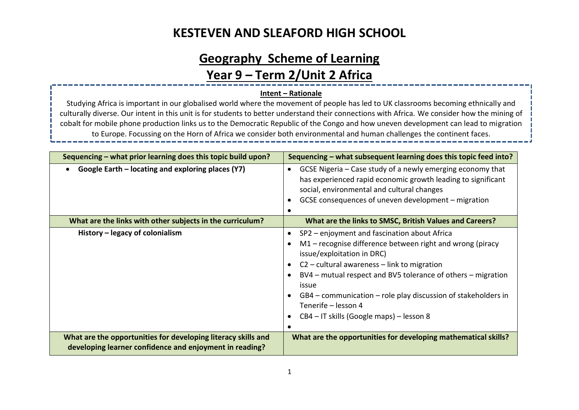# **Geography Scheme of Learning Year 9 – Term 2/Unit 2 Africa**

#### **Intent – Rationale**

Studying Africa is important in our globalised world where the movement of people has led to UK classrooms becoming ethnically and culturally diverse. Our intent in this unit is for students to better understand their connections with Africa. We consider how the mining of cobalt for mobile phone production links us to the Democratic Republic of the Congo and how uneven development can lead to migration to Europe. Focussing on the Horn of Africa we consider both environmental and human challenges the continent faces.

| Sequencing – what prior learning does this topic build upon?                                                             | Sequencing – what subsequent learning does this topic feed into?                                                                                                                                                                                                                                                                                                                                      |
|--------------------------------------------------------------------------------------------------------------------------|-------------------------------------------------------------------------------------------------------------------------------------------------------------------------------------------------------------------------------------------------------------------------------------------------------------------------------------------------------------------------------------------------------|
| Google Earth - locating and exploring places (Y7)<br>$\bullet$                                                           | GCSE Nigeria – Case study of a newly emerging economy that<br>has experienced rapid economic growth leading to significant<br>social, environmental and cultural changes<br>GCSE consequences of uneven development – migration                                                                                                                                                                       |
| What are the links with other subjects in the curriculum?                                                                | What are the links to SMSC, British Values and Careers?                                                                                                                                                                                                                                                                                                                                               |
| History – legacy of colonialism                                                                                          | SP2 – enjoyment and fascination about Africa<br>M1 - recognise difference between right and wrong (piracy<br>issue/exploitation in DRC)<br>$C2$ – cultural awareness – link to migration<br>BV4 – mutual respect and BV5 tolerance of others – migration<br>issue<br>GB4 - communication - role play discussion of stakeholders in<br>Tenerife - lesson 4<br>CB4 – IT skills (Google maps) – lesson 8 |
| What are the opportunities for developing literacy skills and<br>developing learner confidence and enjoyment in reading? | What are the opportunities for developing mathematical skills?                                                                                                                                                                                                                                                                                                                                        |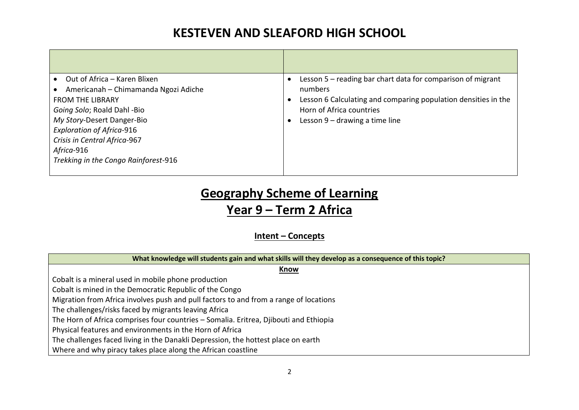| Out of Africa - Karen Blixen<br>Americanah - Chimamanda Ngozi Adiche<br><b>FROM THE LIBRARY</b><br>Going Solo; Roald Dahl -Bio<br>My Story-Desert Danger-Bio<br><b>Exploration of Africa-916</b><br>Crisis in Central Africa-967<br>Africa-916<br>Trekking in the Congo Rainforest-916 | Lesson 5 - reading bar chart data for comparison of migrant<br>numbers<br>Lesson 6 Calculating and comparing population densities in the<br>٠<br>Horn of Africa countries<br>Lesson $9$ – drawing a time line |
|----------------------------------------------------------------------------------------------------------------------------------------------------------------------------------------------------------------------------------------------------------------------------------------|---------------------------------------------------------------------------------------------------------------------------------------------------------------------------------------------------------------|
|                                                                                                                                                                                                                                                                                        |                                                                                                                                                                                                               |

# **Geography Scheme of Learning**

### **Year 9 – Term 2 Africa**

### **Intent – Concepts**

| What knowledge will students gain and what skills will they develop as a consequence of this topic? |  |  |  |
|-----------------------------------------------------------------------------------------------------|--|--|--|
| Know                                                                                                |  |  |  |
| Cobalt is a mineral used in mobile phone production                                                 |  |  |  |
| Cobalt is mined in the Democratic Republic of the Congo                                             |  |  |  |
| Migration from Africa involves push and pull factors to and from a range of locations               |  |  |  |
| The challenges/risks faced by migrants leaving Africa                                               |  |  |  |
| The Horn of Africa comprises four countries - Somalia. Eritrea, Djibouti and Ethiopia               |  |  |  |
| Physical features and environments in the Horn of Africa                                            |  |  |  |
| The challenges faced living in the Danakli Depression, the hottest place on earth                   |  |  |  |
| Where and why piracy takes place along the African coastline                                        |  |  |  |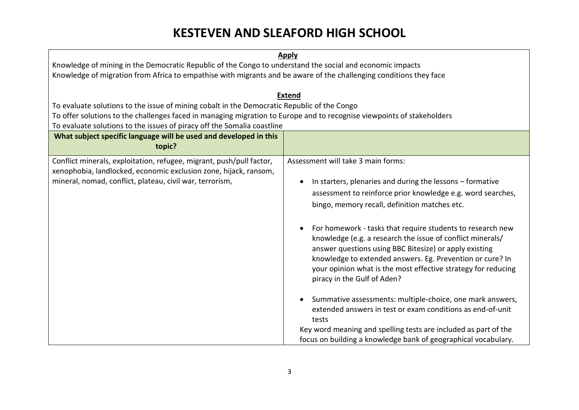| <b>Apply</b> |
|--------------|
|--------------|

Knowledge of mining in the Democratic Republic of the Congo to understand the social and economic impacts Knowledge of migration from Africa to empathise with migrants and be aware of the challenging conditions they face

#### **Extend**

To evaluate solutions to the issue of mining cobalt in the Democratic Republic of the Congo

To offer solutions to the challenges faced in managing migration to Europe and to recognise viewpoints of stakeholders

To evaluate solutions to the issues of piracy off the Somalia coastline

| TO Evaluate Solutions to the issues of phacy on the Solitana coastille                                                                                                                               |                                                                                                                                                                                                                                                                                                                                                                                                                                                                                                                                                                                                                                                                                                                                                                                                                                             |
|------------------------------------------------------------------------------------------------------------------------------------------------------------------------------------------------------|---------------------------------------------------------------------------------------------------------------------------------------------------------------------------------------------------------------------------------------------------------------------------------------------------------------------------------------------------------------------------------------------------------------------------------------------------------------------------------------------------------------------------------------------------------------------------------------------------------------------------------------------------------------------------------------------------------------------------------------------------------------------------------------------------------------------------------------------|
| What subject specific language will be used and developed in this<br>topic?                                                                                                                          |                                                                                                                                                                                                                                                                                                                                                                                                                                                                                                                                                                                                                                                                                                                                                                                                                                             |
| Conflict minerals, exploitation, refugee, migrant, push/pull factor,<br>xenophobia, landlocked, economic exclusion zone, hijack, ransom,<br>mineral, nomad, conflict, plateau, civil war, terrorism, | Assessment will take 3 main forms:<br>In starters, plenaries and during the lessons – formative<br>assessment to reinforce prior knowledge e.g. word searches,<br>bingo, memory recall, definition matches etc.<br>For homework - tasks that require students to research new<br>knowledge (e.g. a research the issue of conflict minerals/<br>answer questions using BBC Bitesize) or apply existing<br>knowledge to extended answers. Eg. Prevention or cure? In<br>your opinion what is the most effective strategy for reducing<br>piracy in the Gulf of Aden?<br>Summative assessments: multiple-choice, one mark answers,<br>extended answers in test or exam conditions as end-of-unit<br>tests<br>Key word meaning and spelling tests are included as part of the<br>focus on building a knowledge bank of geographical vocabulary. |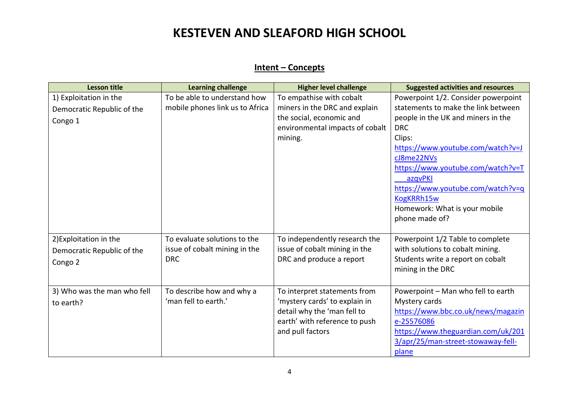#### **Intent – Concepts**

| <b>Lesson title</b>         | <b>Learning challenge</b>       | <b>Higher level challenge</b>   | <b>Suggested activities and resources</b> |
|-----------------------------|---------------------------------|---------------------------------|-------------------------------------------|
| 1) Exploitation in the      | To be able to understand how    | To empathise with cobalt        | Powerpoint 1/2. Consider powerpoint       |
| Democratic Republic of the  | mobile phones link us to Africa | miners in the DRC and explain   | statements to make the link between       |
| Congo 1                     |                                 | the social, economic and        | people in the UK and miners in the        |
|                             |                                 | environmental impacts of cobalt | <b>DRC</b>                                |
|                             |                                 | mining.                         | Clips:                                    |
|                             |                                 |                                 | https://www.youtube.com/watch?v=J         |
|                             |                                 |                                 | cJ8me22NVs                                |
|                             |                                 |                                 | https://www.youtube.com/watch?v=T         |
|                             |                                 |                                 | azqvPKI                                   |
|                             |                                 |                                 | https://www.youtube.com/watch?v=q         |
|                             |                                 |                                 | KogKRRh15w                                |
|                             |                                 |                                 | Homework: What is your mobile             |
|                             |                                 |                                 | phone made of?                            |
| 2) Exploitation in the      | To evaluate solutions to the    | To independently research the   | Powerpoint 1/2 Table to complete          |
| Democratic Republic of the  | issue of cobalt mining in the   | issue of cobalt mining in the   | with solutions to cobalt mining.          |
| Congo 2                     | <b>DRC</b>                      | DRC and produce a report        | Students write a report on cobalt         |
|                             |                                 |                                 | mining in the DRC                         |
|                             |                                 |                                 |                                           |
| 3) Who was the man who fell | To describe how and why a       | To interpret statements from    | Powerpoint - Man who fell to earth        |
| to earth?                   | 'man fell to earth.'            | 'mystery cards' to explain in   | Mystery cards                             |
|                             |                                 | detail why the 'man fell to     | https://www.bbc.co.uk/news/magazin        |
|                             |                                 | earth' with reference to push   | e-25576086                                |
|                             |                                 | and pull factors                | https://www.theguardian.com/uk/201        |
|                             |                                 |                                 | 3/apr/25/man-street-stowaway-fell-        |
|                             |                                 |                                 | plane                                     |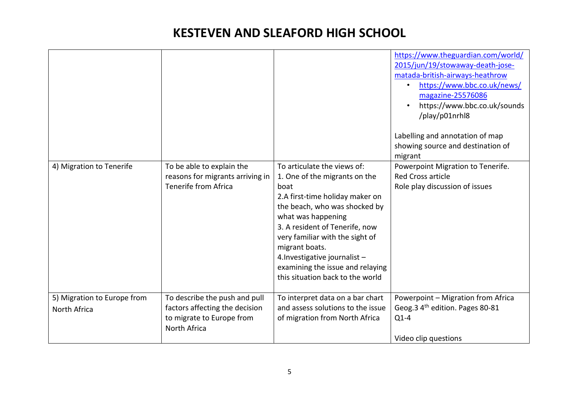| 4) Migration to Tenerife                    | To be able to explain the                                                                                    | To articulate the views of:                                                                                                                                                                                                                                                                                                     | https://www.theguardian.com/world/<br>2015/jun/19/stowaway-death-jose-<br>matada-british-airways-heathrow<br>https://www.bbc.co.uk/news/<br>magazine-25576086<br>https://www.bbc.co.uk/sounds<br>/play/p01nrhl8<br>Labelling and annotation of map<br>showing source and destination of<br>migrant<br>Powerpoint Migration to Tenerife. |
|---------------------------------------------|--------------------------------------------------------------------------------------------------------------|---------------------------------------------------------------------------------------------------------------------------------------------------------------------------------------------------------------------------------------------------------------------------------------------------------------------------------|-----------------------------------------------------------------------------------------------------------------------------------------------------------------------------------------------------------------------------------------------------------------------------------------------------------------------------------------|
|                                             | reasons for migrants arriving in<br><b>Tenerife from Africa</b>                                              | 1. One of the migrants on the<br>boat<br>2.A first-time holiday maker on<br>the beach, who was shocked by<br>what was happening<br>3. A resident of Tenerife, now<br>very familiar with the sight of<br>migrant boats.<br>4. Investigative journalist -<br>examining the issue and relaying<br>this situation back to the world | <b>Red Cross article</b><br>Role play discussion of issues                                                                                                                                                                                                                                                                              |
| 5) Migration to Europe from<br>North Africa | To describe the push and pull<br>factors affecting the decision<br>to migrate to Europe from<br>North Africa | To interpret data on a bar chart<br>and assess solutions to the issue<br>of migration from North Africa                                                                                                                                                                                                                         | Powerpoint - Migration from Africa<br>Geog.3 4 <sup>th</sup> edition. Pages 80-81<br>$Q1-4$<br>Video clip questions                                                                                                                                                                                                                     |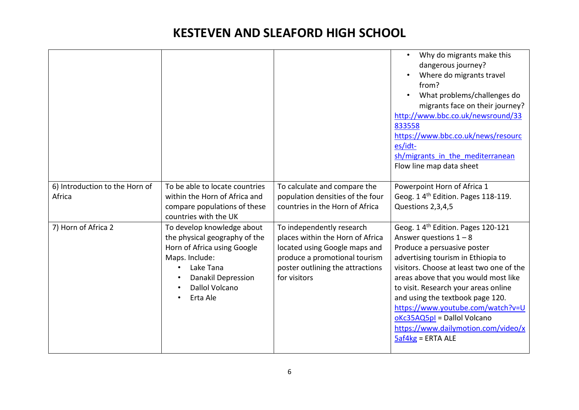|                                |                                                                                                                                                                                      |                                                                                                                                                                                     | Why do migrants make this<br>dangerous journey?<br>Where do migrants travel<br>from?<br>What problems/challenges do<br>migrants face on their journey?<br>http://www.bbc.co.uk/newsround/33<br>833558<br>https://www.bbc.co.uk/news/resourc<br>es/idt-<br>sh/migrants in the mediterranean<br>Flow line map data sheet                                                                                                                            |
|--------------------------------|--------------------------------------------------------------------------------------------------------------------------------------------------------------------------------------|-------------------------------------------------------------------------------------------------------------------------------------------------------------------------------------|---------------------------------------------------------------------------------------------------------------------------------------------------------------------------------------------------------------------------------------------------------------------------------------------------------------------------------------------------------------------------------------------------------------------------------------------------|
| 6) Introduction to the Horn of | To be able to locate countries                                                                                                                                                       | To calculate and compare the                                                                                                                                                        | Powerpoint Horn of Africa 1                                                                                                                                                                                                                                                                                                                                                                                                                       |
| Africa                         | within the Horn of Africa and                                                                                                                                                        | population densities of the four                                                                                                                                                    | Geog. 1 4 <sup>th</sup> Edition. Pages 118-119.                                                                                                                                                                                                                                                                                                                                                                                                   |
|                                | compare populations of these<br>countries with the UK                                                                                                                                | countries in the Horn of Africa                                                                                                                                                     | Questions 2,3,4,5                                                                                                                                                                                                                                                                                                                                                                                                                                 |
| 7) Horn of Africa 2            | To develop knowledge about<br>the physical geography of the<br>Horn of Africa using Google<br>Maps. Include:<br>Lake Tana<br><b>Danakil Depression</b><br>Dallol Volcano<br>Erta Ale | To independently research<br>places within the Horn of Africa<br>located using Google maps and<br>produce a promotional tourism<br>poster outlining the attractions<br>for visitors | Geog. 1 4 <sup>th</sup> Edition. Pages 120-121<br>Answer questions $1 - 8$<br>Produce a persuasive poster<br>advertising tourism in Ethiopia to<br>visitors. Choose at least two one of the<br>areas above that you would most like<br>to visit. Research your areas online<br>and using the textbook page 120.<br>https://www.youtube.com/watch?v=U<br>oKc35AQ5pl = Dallol Volcano<br>https://www.dailymotion.com/video/x<br>$5af4kg = ERTA ALE$ |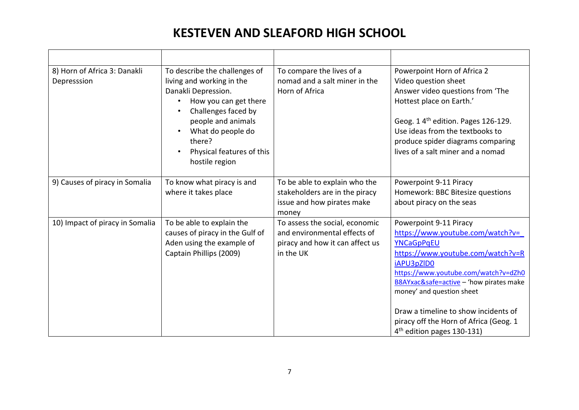| 8) Horn of Africa 3: Danakli<br>Depresssion | To describe the challenges of<br>living and working in the<br>Danakli Depression.<br>How you can get there<br>$\bullet$<br>Challenges faced by<br>$\bullet$<br>people and animals<br>What do people do<br>$\bullet$<br>there?<br>Physical features of this<br>hostile region | To compare the lives of a<br>nomad and a salt miner in the<br>Horn of Africa                                   | Powerpoint Horn of Africa 2<br>Video question sheet<br>Answer video questions from 'The<br>Hottest place on Earth.'<br>Geog. 1 4 <sup>th</sup> edition. Pages 126-129.<br>Use ideas from the textbooks to<br>produce spider diagrams comparing<br>lives of a salt miner and a nomad                                                                                     |
|---------------------------------------------|------------------------------------------------------------------------------------------------------------------------------------------------------------------------------------------------------------------------------------------------------------------------------|----------------------------------------------------------------------------------------------------------------|-------------------------------------------------------------------------------------------------------------------------------------------------------------------------------------------------------------------------------------------------------------------------------------------------------------------------------------------------------------------------|
| 9) Causes of piracy in Somalia              | To know what piracy is and<br>where it takes place                                                                                                                                                                                                                           | To be able to explain who the<br>stakeholders are in the piracy<br>issue and how pirates make<br>money         | Powerpoint 9-11 Piracy<br>Homework: BBC Bitesize questions<br>about piracy on the seas                                                                                                                                                                                                                                                                                  |
| 10) Impact of piracy in Somalia             | To be able to explain the<br>causes of piracy in the Gulf of<br>Aden using the example of<br>Captain Phillips (2009)                                                                                                                                                         | To assess the social, economic<br>and environmental effects of<br>piracy and how it can affect us<br>in the UK | Powerpoint 9-11 Piracy<br>https://www.youtube.com/watch?v=<br>YNCaGpPqEU<br>https://www.youtube.com/watch?v=R<br>iAPU3pZID0<br>https://www.youtube.com/watch?v=dZh0<br>B8AYxac&safe=active - 'how pirates make<br>money' and question sheet<br>Draw a timeline to show incidents of<br>piracy off the Horn of Africa (Geog. 1<br>4 <sup>th</sup> edition pages 130-131) |